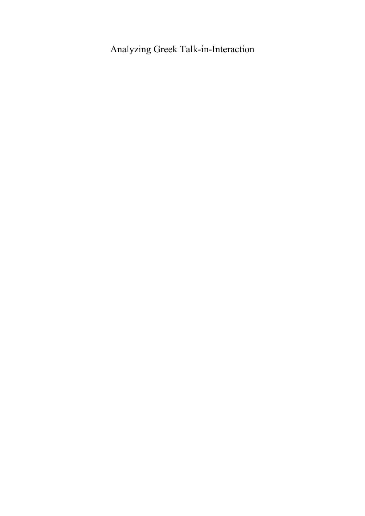# Analyzing Greek Talk-in-Interaction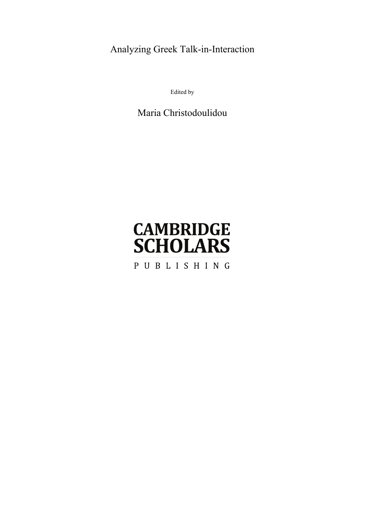# Analyzing Greek Talk-in-Interaction

Edited by

Maria Christodoulidou

# **CAMBRIDGE SCHOLARS** PUBLISHING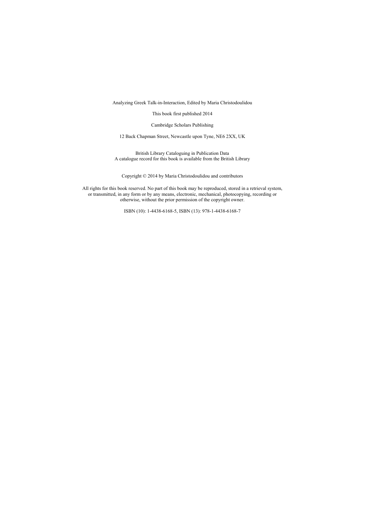Analyzing Greek Talk-in-Interaction, Edited by Maria Christodoulidou

This book first published 2014

Cambridge Scholars Publishing

12 Back Chapman Street, Newcastle upon Tyne, NE6 2XX, UK

British Library Cataloguing in Publication Data A catalogue record for this book is available from the British Library

Copyright © 2014 by Maria Christodoulidou and contributors

All rights for this book reserved. No part of this book may be reproduced, stored in a retrieval system, or transmitted, in any form or by any means, electronic, mechanical, photocopying, recording or otherwise, without the prior permission of the copyright owner.

ISBN (10): 1-4438-6168-5, ISBN (13): 978-1-4438-6168-7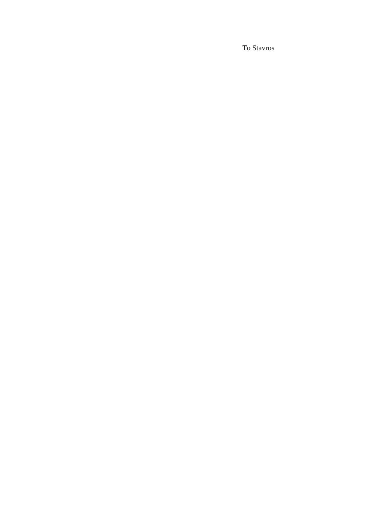To Stavros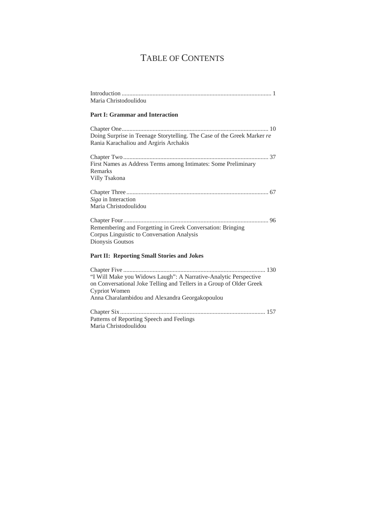# TABLE OF CONTENTS

| Maria Christodoulidou                                                                                                                                                                                        |
|--------------------------------------------------------------------------------------------------------------------------------------------------------------------------------------------------------------|
| <b>Part I: Grammar and Interaction</b>                                                                                                                                                                       |
| Doing Surprise in Teenage Storytelling. The Case of the Greek Marker re<br>Rania Karachaliou and Argiris Archakis                                                                                            |
| First Names as Address Terms among Intimates: Some Preliminary<br>Remarks<br>Villy Tsakona                                                                                                                   |
| Siga in Interaction<br>Maria Christodoulidou                                                                                                                                                                 |
| Remembering and Forgetting in Greek Conversation: Bringing<br>Corpus Linguistic to Conversation Analysis<br>Dionysis Goutsos                                                                                 |
| Part II: Reporting Small Stories and Jokes                                                                                                                                                                   |
| "I Will Make you Widows Laugh": A Narrative-Analytic Perspective<br>on Conversational Joke Telling and Tellers in a Group of Older Greek<br>Cypriot Women<br>Anna Charalambidou and Alexandra Georgakopoulou |
| Patterns of Reporting Speech and Feelings<br>Maria Christodoulidou                                                                                                                                           |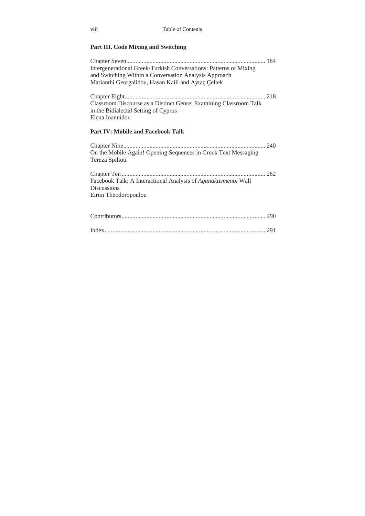### **Part III. Code Mixing and Switching**

Chapter Seven .......................................................................................... 184 Intergenerational Greek-Turkish Conversations: Patterns of Mixing and Switching Within a Conversation Analysis Approach Marianthi Georgalidou, Hasan Kaili and Aytaç Çeltek Chapter Eight ........................................................................................... 218 Classroom Discourse as a Distinct Genre: Examining Classroom Talk in the Bidialectal Setting of Cyprus Elena Ioannidou

#### **Part IV: Mobile and Facebook Talk**

| On the Mobile Again! Opening Sequences in Greek Text Messaging<br>Tereza Spilioti                             |  |
|---------------------------------------------------------------------------------------------------------------|--|
| Facebook Talk: A Interactional Analysis of Aganaktismenoi Wall<br><b>Discussions</b><br>Eirini Theodoropoulou |  |
|                                                                                                               |  |
|                                                                                                               |  |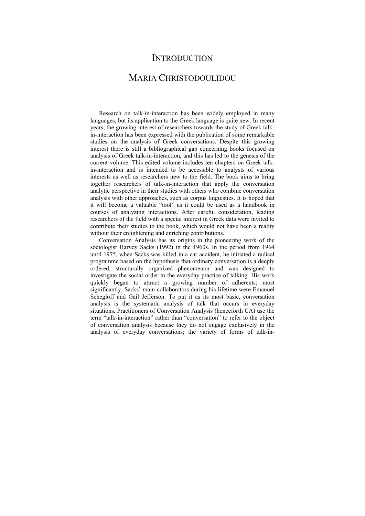### **INTRODUCTION**

### MARIA CHRISTODOULIDOU

Research on talk-in-interaction has been widely employed in many languages, but its application to the Greek language is quite new. In recent years, the growing interest of researchers towards the study of Greek talkin-interaction has been expressed with the publication of some remarkable studies on the analysis of Greek conversations. Despite this growing interest there is still a bibliographical gap concerning books focused on analysis of Greek talk-in-interaction, and this has led to the genesis of the current volume. This edited volume includes ten chapters on Greek talkin-interaction and is intended to be accessible to analysts of various interests as well as researchers new to the field. The book aims to bring together researchers of talk-in-interaction that apply the conversation analytic perspective in their studies with others who combine conversation analysis with other approaches, such as corpus linguistics. It is hoped that it will become a valuable "tool" as it could be used as a handbook in courses of analyzing interactions. After careful consideration, leading researchers of the field with a special interest in Greek data were invited to contribute their studies to the book, which would not have been a reality without their enlightening and enriching contributions.

Conversation Analysis has its origins in the pioneering work of the sociologist Harvey Sacks (1992) in the 1960s. In the period from 1964 until 1975, when Sacks was killed in a car accident, he initiated a radical programme based on the hypothesis that ordinary conversation is a deeply ordered, structurally organized phenomenon and was designed to investigate the social order in the everyday practice of talking. His work quickly began to attract a growing number of adherents; most significantly, Sacks' main collaborators during his lifetime were Emanuel Schegloff and Gail Jefferson. To put it as its most basic, conversation analysis is the systematic analysis of talk that occurs in everyday situations. Practitioners of Conversation Analysis (henceforth CA) use the term "talk-in-interaction" rather than "conversation" to refer to the object of conversation analysis because they do not engage exclusively in the analysis of everyday conversations; the variety of forms of talk-in-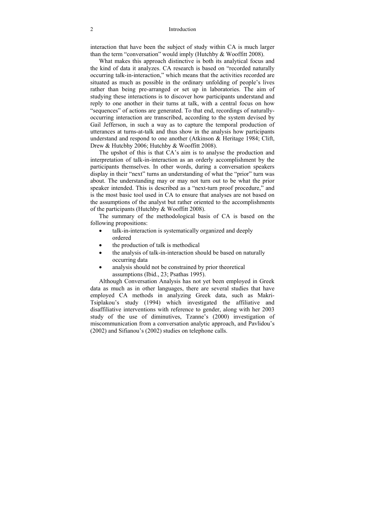#### 2 Introduction

interaction that have been the subject of study within CA is much larger than the term "conversation" would imply (Hutchby & Wooffitt 2008).

What makes this approach distinctive is both its analytical focus and the kind of data it analyzes. CA research is based on "recorded naturally occurring talk-in-interaction," which means that the activities recorded are situated as much as possible in the ordinary unfolding of people's lives rather than being pre-arranged or set up in laboratories. The aim of studying these interactions is to discover how participants understand and reply to one another in their turns at talk, with a central focus on how "sequences" of actions are generated. To that end, recordings of naturallyoccurring interaction are transcribed, according to the system devised by Gail Jefferson, in such a way as to capture the temporal production of utterances at turns-at-talk and thus show in the analysis how participants understand and respond to one another (Atkinson & Heritage 1984; Clift, Drew & Hutcbhy 2006; Hutchby & Wooffitt 2008).

The upshot of this is that CA's aim is to analyse the production and interpretation of talk-in-interaction as an orderly accomplishment by the participants themselves. In other words, during a conversation speakers display in their "next" turns an understanding of what the "prior" turn was about. The understanding may or may not turn out to be what the prior speaker intended. This is described as a "next-turn proof procedure," and is the most basic tool used in CA to ensure that analyses are not based on the assumptions of the analyst but rather oriented to the accomplishments of the participants (Hutchby & Wooffitt 2008).

The summary of the methodological basis of CA is based on the following propositions:

- talk-in-interaction is systematically organized and deeply ordered
- the production of talk is methodical
- the analysis of talk-in-interaction should be based on naturally occurring data
- analysis should not be constrained by prior theoretical assumptions (Ibid., 23; Psathas 1995).

Although Conversation Analysis has not yet been employed in Greek data as much as in other languages, there are several studies that have employed CA methods in analyzing Greek data, such as Makri-Tsiplakou's study (1994) which investigated the affiliative and disaffiliative interventions with reference to gender, along with her 2003 study of the use of diminutives, Tzanne's (2000) investigation of miscommunication from a conversation analytic approach, and Pavlidou's (2002) and Sifianou's (2002) studies on telephone calls.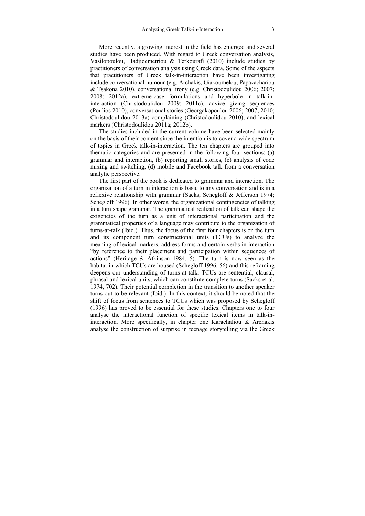More recently, a growing interest in the field has emerged and several studies have been produced. With regard to Greek conversation analysis, Vasilopoulou, Hadjidemetriou & Terkourafi (2010) include studies by practitioners of conversation analysis using Greek data. Some of the aspects that practitioners of Greek talk-in-interaction have been investigating include conversational humour (e.g. Archakis, Giakoumelou, Papazachariou & Tsakona 2010), conversational irony (e.g. Christodoulidou 2006; 2007; 2008; 2012a), extreme-case formulations and hyperbole in talk-ininteraction (Christodoulidou 2009; 2011c), advice giving sequences (Poulios 2010), conversational stories (Georgakopoulou 2006; 2007; 2010; Christodoulidou 2013a) complaining (Christodoulidou 2010), and lexical markers (Christodoulidou 2011a; 2012b).

The studies included in the current volume have been selected mainly on the basis of their content since the intention is to cover a wide spectrum of topics in Greek talk-in-interaction. The ten chapters are grouped into thematic categories and are presented in the following four sections: (a) grammar and interaction, (b) reporting small stories, (c) analysis of code mixing and switching, (d) mobile and Facebook talk from a conversation analytic perspective.

The first part of the book is dedicated to grammar and interaction. The organization of a turn in interaction is basic to any conversation and is in a reflexive relationship with grammar (Sacks, Schegloff & Jefferson 1974; Schegloff 1996). In other words, the organizational contingencies of talking in a turn shape grammar. The grammatical realization of talk can shape the exigencies of the turn as a unit of interactional participation and the grammatical properties of a language may contribute to the organization of turns-at-talk (Ibid.). Thus, the focus of the first four chapters is on the turn and its component turn constructional units (TCUs) to analyze the meaning of lexical markers, address forms and certain verbs in interaction "by reference to their placement and participation within sequences of actions" (Heritage & Atkinson 1984, 5). The turn is now seen as the habitat in which TCUs are housed (Schegloff 1996, 56) and this reframing deepens our understanding of turns-at-talk. TCUs are sentential, clausal, phrasal and lexical units, which can constitute complete turns (Sacks et al. 1974, 702). Their potential completion in the transition to another speaker turns out to be relevant (Ibid.). In this context, it should be noted that the shift of focus from sentences to TCUs which was proposed by Schegloff (1996) has proved to be essential for these studies. Chapters one to four analyse the interactional function of specific lexical items in talk-ininteraction. More specifically, in chapter one Karachaliou & Archakis analyse the construction of surprise in teenage storytelling via the Greek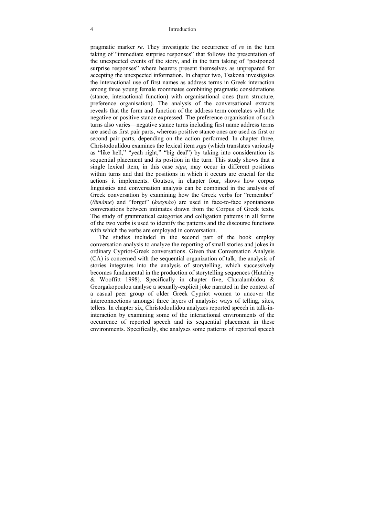#### 4 Introduction

pragmatic marker *re*. They investigate the occurrence of *re* in the turn taking of "immediate surprise responses" that follows the presentation of the unexpected events of the story, and in the turn taking of "postponed surprise responses" where hearers present themselves as unprepared for accepting the unexpected information. In chapter two, Tsakona investigates the interactional use of first names as address terms in Greek interaction among three young female roommates combining pragmatic considerations (stance, interactional function) with organisational ones (turn structure, preference organisation). The analysis of the conversational extracts reveals that the form and function of the address term correlates with the negative or positive stance expressed. The preference organisation of such turns also varies—negative stance turns including first name address terms are used as first pair parts, whereas positive stance ones are used as first or second pair parts, depending on the action performed. In chapter three, Christodoulidou examines the lexical item *siga* (which translates variously as "like hell," "yeah right," "big deal") by taking into consideration its sequential placement and its position in the turn. This study shows that a single lexical item, in this case *siga*, may occur in different positions within turns and that the positions in which it occurs are crucial for the actions it implements. Goutsos, in chapter four, shows how corpus linguistics and conversation analysis can be combined in the analysis of Greek conversation by examining how the Greek verbs for "remember" (*θimáme*) and "forget" (*kseχnáo*) are used in face-to-face spontaneous conversations between intimates drawn from the Corpus of Greek texts. The study of grammatical categories and colligation patterns in all forms of the two verbs is used to identify the patterns and the discourse functions with which the verbs are employed in conversation.

The studies included in the second part of the book employ conversation analysis to analyze the reporting of small stories and jokes in ordinary Cypriot-Greek conversations. Given that Conversation Analysis (CA) is concerned with the sequential organization of talk, the analysis of stories integrates into the analysis of storytelling, which successively becomes fundamental in the production of storytelling sequences (Hutchby & Wooffitt 1998). Specifically in chapter five, Charalambidou & Georgakopoulou analyse a sexually-explicit joke narrated in the context of a casual peer group of older Greek Cypriot women to uncover the interconnections amongst three layers of analysis: ways of telling, sites, tellers. In chapter six, Christodoulidou analyzes reported speech in talk-ininteraction by examining some of the interactional environments of the occurrence of reported speech and its sequential placement in these environments. Specifically, she analyses some patterns of reported speech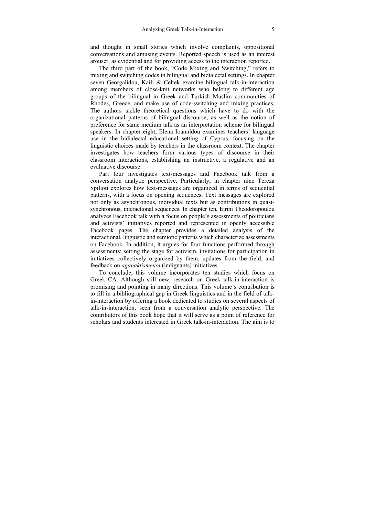and thought in small stories which involve complaints, oppositional conversations and amusing events. Reported speech is used as an interest arouser, as evidential and for providing access to the interaction reported.

The third part of the book, "Code Mixing and Switching," refers to mixing and switching codes in bilingual and bidialectal settings. In chapter seven Georgalidou, Kaili & Celtek examine bilingual talk-in-interaction among members of close-knit networks who belong to different age groups of the bilingual in Greek and Turkish Muslim communities of Rhodes, Greece, and make use of code-switching and mixing practices. The authors tackle theoretical questions which have to do with the organizational patterns of bilingual discourse, as well as the notion of preference for same medium talk as an interpretation scheme for bilingual speakers. In chapter eight, Elena Ioannidou examines teachers' language use in the bidialectal educational setting of Cyprus, focusing on the linguistic choices made by teachers in the classroom context. The chapter investigates how teachers form various types of discourse in their classroom interactions, establishing an instructive, a regulative and an evaluative discourse.

Part four investigates text-messages and Facebook talk from a conversation analytic perspective. Particularly, in chapter nine Tereza Spilioti explores how text-messages are organized in terms of sequential patterns, with a focus on opening sequences. Text messages are explored not only as asynchronous, individual texts but as contributions in quasisynchronous, interactional sequences. In chapter ten, Eirini Theodoropoulou analyzes Facebook talk with a focus on people's assessments of politicians and activists' initiatives reported and represented in openly accessible Facebook pages. The chapter provides a detailed analysis of the interactional, linguistic and semiotic patterns which characterize assessments on Facebook. In addition, it argues for four functions performed through assessments: setting the stage for activism, invitations for participation in initiatives collectively organized by them, updates from the field, and feedback on *aganaktismenoi* (indignants) initiatives.

To conclude, this volume incorporates ten studies which focus on Greek CA. Although still new, research on Greek talk-in-interaction is promising and pointing in many directions. This volume's contribution is to fill in a bibliographical gap in Greek linguistics and in the field of talkin-interaction by offering a book dedicated to studies on several aspects of talk-in-interaction, seen from a conversation analytic perspective. The contributors of this book hope that it will serve as a point of reference for scholars and students interested in Greek talk-in-interaction. The aim is to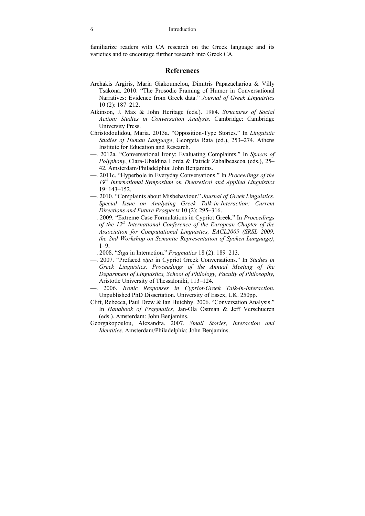familiarize readers with CA research on the Greek language and its varieties and to encourage further research into Greek CA.

### **References**

- Archakis Argiris, Maria Giakoumelou, Dimitris Papazachariou & Villy Tsakona. 2010. "The Prosodic Framing of Humor in Conversational Narratives: Evidence from Greek data." *Journal of Greek Linguistics* 10 (2): 187–212.
- Atkinson, J. Max & John Heritage (eds.). 1984. *Structures of Social Action: Studies in Conversation Analysis*. Cambridge: Cambridge University Press.
- Christodoulidou, Maria. 2013a. "Opposition-Type Stories." In *Linguistic Studies of Human Language*, Georgeta Rata (ed.), 253–274. Athens Institute for Education and Research.
- —. 2012a. "Conversational Irony: Evaluating Complaints." In *Spaces of Polyphony*, Clara-Ubaldina Lorda & Patrick Zabalbeascoa (eds.), 25– 42*.* Amsterdam/Philadelphia: John Benjamins.
- —. 2011c. "Hyperbole in Everyday Conversations." In *Proceedings of the 19th International Symposium on Theoretical and Applied Linguistics*  $19.143 - 152$
- —. 2010. "Complaints about Misbehaviour." *Journal of Greek Linguistics. Special Issue on Analysing Greek Talk-in-Interaction: Current Directions and Future Prospects* 10 (2): 295–316.
- —. 2009. "Extreme Case Formulations in Cypriot Greek." In *Proceedings of the 12th International Conference of the European Chapter of the Association for Computational Linguistics, EACL2009 (SRSL 2009, the 2nd Workshop on Semantic Representation of Spoken Language)*,  $1-9.$
- —. 2008. "*Siga* in Interaction." *Pragmatics* 18 (2): 189–213.
- —. 2007. "Prefaced *siga* in Cypriot Greek Conversations." In *Studies in Greek Linguistics. Proceedings of the Annual Meeting of the Department of Linguistics, School of Philology, Faculty of Philosophy*, Aristotle University of Thessaloniki, 113–124.
- —. 2006. *Ironic Responses in Cypriot-Greek Talk-in-Interaction*. Unpublished PhD Dissertation. University of Essex, UK. 250pp.
- Clift, Rebecca, Paul Drew & Ian Hutchby. 2006. "Conversation Analysis." In *Handbook of Pragmatics,* Jan-Ola Östman & Jeff Verschueren (eds.). Amsterdam: John Benjamins.
- Georgakopoulou, Alexandra. 2007. *Small Stories, Interaction and Identities*. Amsterdam/Philadelphia: John Benjamins.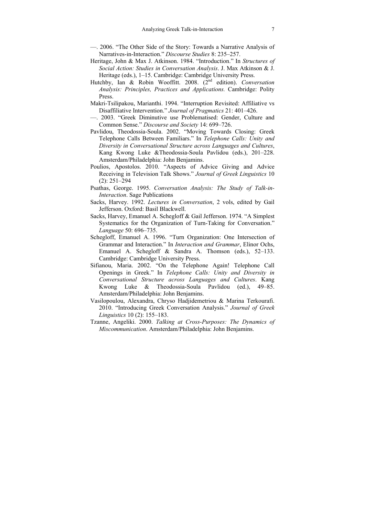- —. 2006. "The Other Side of the Story: Towards a Narrative Analysis of Narratives-in-Interaction." *Discourse Studies* 8: 235–257.
- Heritage, John & Max J. Atkinson. 1984. "Introduction." In *Structures of Social Action: Studies in Conversation Analysis*. J. Max Atkinson & J. Heritage (eds.), 1–15. Cambridge: Cambridge University Press.
- Hutchby, Ian & Robin Wooffitt. 2008. (2<sup>nd</sup> edition). *Conversation Analysis: Principles, Practices and Applications.* Cambridge: Polity Press.
- Makri-Tsilipakou, Marianthi. 1994. "Interruption Revisited: Affiliative vs Disaffiliative Intervention." *Journal of Pragmatics* 21: 401–426.
- —. 2003. "Greek Diminutive use Problematised: Gender, Culture and Common Sense." *Discourse and Society* 14: 699–726.
- Pavlidou, Theodossia-Soula. 2002. "Moving Towards Closing: Greek Telephone Calls Between Familiars." In *Telephone Calls: Unity and Diversity in Conversational Structure across Languages and Cultures*, Kang Kwong Luke &Theodossia-Soula Pavlidou (eds.), 201–228. Amsterdam/Philadelphia: John Benjamins.
- Poulios, Apostolos. 2010. "Aspects of Advice Giving and Advice Receiving in Television Talk Shows." *Journal of Greek Linguistics* 10  $(2): 251 - 294$
- Psathas, George. 1995. *Conversation Analysis: The Study of Talk-in-Interaction*. Sage Publications
- Sacks, Harvey. 1992. *Lectures in Conversation*, 2 vols, edited by Gail Jefferson. Oxford: Basil Blackwell.
- Sacks, Harvey, Emanuel A. Schegloff & Gail Jefferson. 1974. "A Simplest Systematics for the Organization of Turn-Taking for Conversation." *Language* 50: 696–735.
- Schegloff, Emanuel A. 1996. "Turn Organization: One Intersection of Grammar and Interaction." In *Interaction and Grammar*, Elinor Ochs, Emanuel A. Schegloff & Sandra A. Thomson (eds.), 52–133. Cambridge: Cambridge University Press.
- Sifianou, Maria. 2002. "On the Telephone Again! Telephone Call Openings in Greek." In *Telephone Calls: Unity and Diversity in Conversational Structure across Languages and Cultures*. Kang Kwong Luke & Theodossia-Soula Pavlidou (ed.), 49–85. Amsterdam/Philadelphia: John Benjamins.
- Vasilopoulou, Alexandra, Chryso Hadjidemetriou & Marina Terkourafi. 2010. "Introducing Greek Conversation Analysis." *Journal of Greek Linguistics* 10 (2): 155–183.
- Tzanne, Angeliki. 2000. *Talking at Cross-Purposes: The Dynamics of Miscommunication*. Amsterdam/Philadelphia: John Benjamins.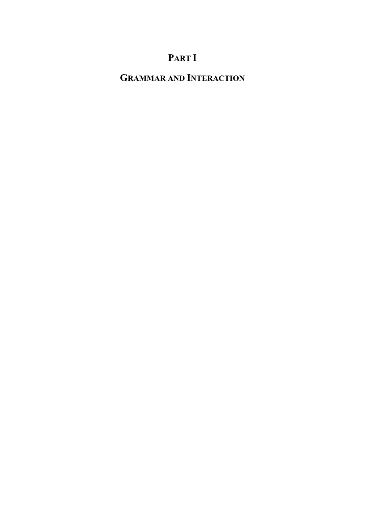# **PART I**

# **GRAMMAR AND INTERACTION**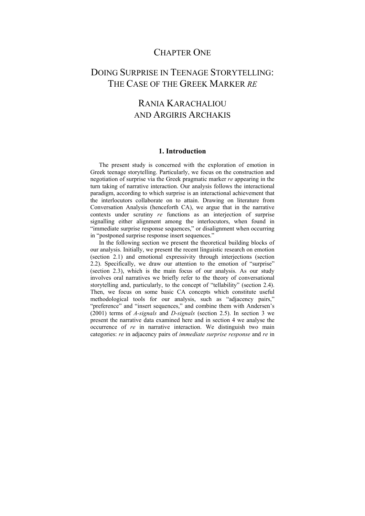### CHAPTER ONE

# DOING SURPRISE IN TEENAGE STORYTELLING: THE CASE OF THE GREEK MARKER *RE*

## RANIA KARACHALIOU AND ARGIRIS ARCHAKIS

### **1. Introduction**

The present study is concerned with the exploration of emotion in Greek teenage storytelling. Particularly, we focus on the construction and negotiation of surprise via the Greek pragmatic marker *re* appearing in the turn taking of narrative interaction. Our analysis follows the interactional paradigm, according to which surprise is an interactional achievement that the interlocutors collaborate on to attain. Drawing on literature from Conversation Analysis (henceforth CA), we argue that in the narrative contexts under scrutiny *re* functions as an interjection of surprise signalling either alignment among the interlocutors, when found in "immediate surprise response sequences," or disalignment when occurring in "postponed surprise response insert sequences."

In the following section we present the theoretical building blocks of our analysis. Initially, we present the recent linguistic research on emotion (section 2.1) and emotional expressivity through interjections (section 2.2). Specifically, we draw our attention to the emotion of "surprise" (section 2.3), which is the main focus of our analysis. As our study involves oral narratives we briefly refer to the theory of conversational storytelling and, particularly, to the concept of "tellability" (section 2.4). Then, we focus on some basic CA concepts which constitute useful methodological tools for our analysis, such as "adjacency pairs," "preference" and "insert sequences," and combine them with Andersen's (2001) terms of *A-signals* and *D-signals* (section 2.5). In section 3 we present the narrative data examined here and in section 4 we analyse the occurrence of *re* in narrative interaction. We distinguish two main categories: *re* in adjacency pairs of *immediate surprise response* and *re* in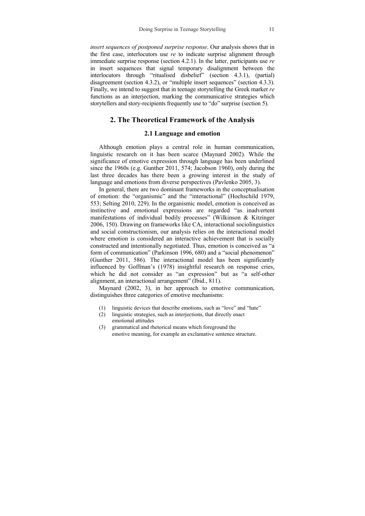*insert sequences of postponed surprise response*. Our analysis shows that in the first case, interlocutors use *re* to indicate surprise alignment through immediate surprise response (section 4.2.1). In the latter, participants use *re*  in insert sequences that signal temporary disalignment between the interlocutors through "ritualised disbelief" (section 4.3.1), (partial) disagreement (section 4.3.2), or "multiple insert sequences" (section 4.3.3). Finally, we intend to suggest that in teenage storytelling the Greek marker *re*  functions as an interjection, marking the communicative strategies which storytellers and story-recipients frequently use to "do" surprise (section 5).

### **2. The Theoretical Framework of the Analysis**

#### **2.1 Language and emotion**

Although emotion plays a central role in human communication, linguistic research on it has been scarce (Maynard 2002). While the significance of emotive expression through language has been underlined since the 1960s (e.g. Gunther 2011, 574; Jacobson 1960), only during the last three decades has there been a growing interest in the study of language and emotions from diverse perspectives (Pavlenko 2005, 3).

In general, there are two dominant frameworks in the conceptualisation of emotion: the "organismic" and the "interactional" (Hochschild 1979, 553; Selting 2010, 229). In the organismic model, emotion is conceived as instinctive and emotional expressions are regarded "as inadvertent manifestations of individual bodily processes" (Wilkinson & Kitzinger 2006, 150). Drawing on frameworks like CA, interactional sociolinguistics and social constructionism, our analysis relies on the interactional model where emotion is considered an interactive achievement that is socially constructed and intentionally negotiated. Thus, emotion is conceived as "a form of communication" (Parkinson 1996, 680) and a "social phenomenon" (Gunther 2011, 586). The interactional model has been significantly influenced by Goffman's (1978) insightful research on response cries, which he did not consider as "an expression" but as "a self-other alignment, an interactional arrangement" (Ibid., 811).

Maynard (2002, 3), in her approach to emotive communication, distinguishes three categories of emotive mechanisms:

- (1) linguistic devices that describe emotions, such as "love" and "hate"
- (2) linguistic strategies, such as interjections, that directly enact emotional attitudes
- (3) grammatical and rhetorical means which foreground the emotive meaning, for example an exclamative sentence structure.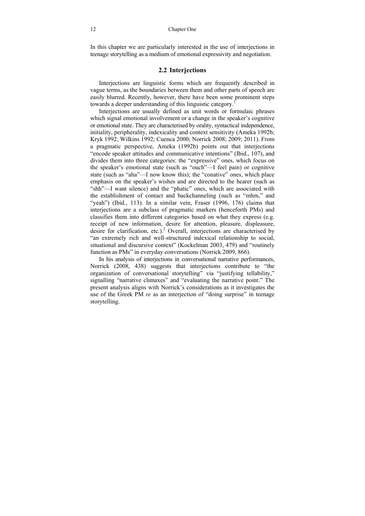In this chapter we are particularly interested in the use of interjections in teenage storytelling as a medium of emotional expressivity and negotiation.

### **2.2 Interjections**

Interjections are linguistic forms which are frequently described in vague terms, as the boundaries between them and other parts of speech are easily blurred. Recently, however, there have been some prominent steps towards a deeper understanding of this linguistic category.<sup>1</sup>

Interjections are usually defined as unit words or formulaic phrases which signal emotional involvement or a change in the speaker's cognitive or emotional state. They are characterised by orality, syntactical independence, initiality, peripherality, indexicality and context sensitivity (Ameka 1992b; Kryk 1992; Wilkins 1992; Cuenca 2000; Norrick 2008; 2009; 2011). From a pragmatic perspective, Ameka (1992b) points out that interjections "encode speaker attitudes and communicative intentions" (Ibid., 107), and divides them into three categories: the "expressive" ones, which focus on the speaker's emotional state (such as "ouch"—I feel pain) or cognitive state (such as "aha"—I now know this); the "conative" ones, which place emphasis on the speaker's wishes and are directed to the hearer (such as "shh"—I want silence) and the "phatic" ones, which are associated with the establishment of contact and backchanneling (such as "mhm," and "yeah") (Ibid., 113). In a similar vein, Fraser (1996, 176) claims that interjections are a subclass of pragmatic markers (henceforth PMs) and classifies them into different categories based on what they express (e.g. receipt of new information, desire for attention, pleasure, displeasure, desire for clarification, etc.).<sup>2</sup> Overall, interjections are characterised by "an extremely rich and well-structured indexical relationship to social, situational and discursive context" (Kockelman 2003, 479) and "routinely function as PMs" in everyday conversations (Norrick 2009, 866).

In his analysis of interjections in conversational narrative performances, Norrick (2008, 438) suggests that interjections contribute to "the organization of conversational storytelling" via "justifying tellability," signalling "narrative climaxes" and "evaluating the narrative point." The present analysis aligns with Norrick's considerations as it investigates the use of the Greek PM *re* as an interjection of "doing surprise" in teenage storytelling.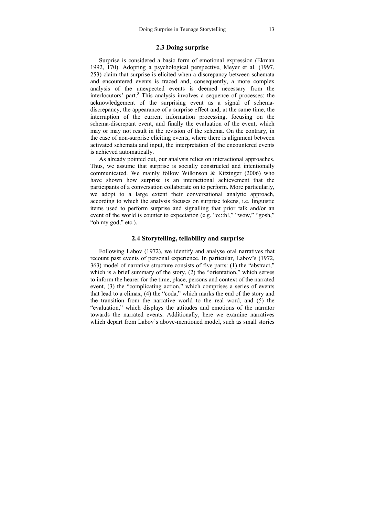### **2.3 Doing surprise**

Surprise is considered a basic form of emotional expression (Ekman 1992, 170). Adopting a psychological perspective, Meyer et al. (1997, 253) claim that surprise is elicited when a discrepancy between schemata and encountered events is traced and, consequently, a more complex analysis of the unexpected events is deemed necessary from the interlocutors' part.<sup>3</sup> This analysis involves a sequence of processes: the acknowledgement of the surprising event as a signal of schemadiscrepancy, the appearance of a surprise effect and, at the same time, the interruption of the current information processing, focusing on the schema-discrepant event, and finally the evaluation of the event, which may or may not result in the revision of the schema. On the contrary, in the case of non-surprise eliciting events, where there is alignment between activated schemata and input, the interpretation of the encountered events is achieved automatically.

As already pointed out, our analysis relies on interactional approaches. Thus, we assume that surprise is socially constructed and intentionally communicated. We mainly follow Wilkinson & Kitzinger (2006) who have shown how surprise is an interactional achievement that the participants of a conversation collaborate on to perform. More particularly, we adopt to a large extent their conversational analytic approach, according to which the analysis focuses on surprise tokens, i.e. linguistic items used to perform surprise and signalling that prior talk and/or an event of the world is counter to expectation (e.g. "o:::h!," "wow," "gosh," "oh my god," etc.).

#### **2.4 Storytelling, tellability and surprise**

Following Labov (1972), we identify and analyse oral narratives that recount past events of personal experience. In particular, Labov's (1972, 363) model of narrative structure consists of five parts: (1) the "abstract," which is a brief summary of the story, (2) the "orientation," which serves to inform the hearer for the time, place, persons and context of the narrated event, (3) the "complicating action," which comprises a series of events that lead to a climax, (4) the "coda," which marks the end of the story and the transition from the narrative world to the real word, and (5) the "evaluation," which displays the attitudes and emotions of the narrator towards the narrated events. Additionally, here we examine narratives which depart from Labov's above-mentioned model, such as small stories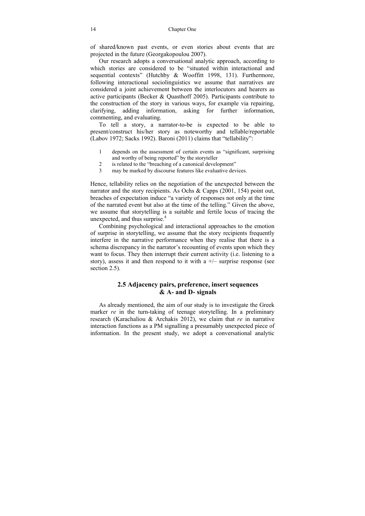of shared/known past events, or even stories about events that are projected in the future (Georgakopoulou 2007).

Our research adopts a conversational analytic approach, according to which stories are considered to be "situated within interactional and sequential contexts" (Hutchby & Wooffitt 1998, 131). Furthermore, following interactional sociolinguistics we assume that narratives are considered a joint achievement between the interlocutors and hearers as active participants (Becker & Quasthoff 2005). Participants contribute to the construction of the story in various ways, for example via repairing, clarifying, adding information, asking for further information, commenting, and evaluating.

To tell a story, a narrator-to-be is expected to be able to present/construct his/her story as noteworthy and tellable/reportable (Labov 1972; Sacks 1992). Baroni (2011) claims that "tellability":

- 1 depends on the assessment of certain events as "significant, surprising and worthy of being reported" by the storyteller
- 2 is related to the "breaching of a canonical development"
- 3 may be marked by discourse features like evaluative devices.

Hence, tellability relies on the negotiation of the unexpected between the narrator and the story recipients. As Ochs & Capps (2001, 154) point out, breaches of expectation induce "a variety of responses not only at the time of the narrated event but also at the time of the telling." Given the above, we assume that storytelling is a suitable and fertile locus of tracing the unexpected, and thus surprise.<sup>4</sup>

Combining psychological and interactional approaches to the emotion of surprise in storytelling, we assume that the story recipients frequently interfere in the narrative performance when they realise that there is a schema discrepancy in the narrator's recounting of events upon which they want to focus. They then interrupt their current activity (i.e. listening to a story), assess it and then respond to it with a  $+/-$  surprise response (see section 2.5).

#### **2.5 Adjacency pairs, preference, insert sequences & A- and D- signals**

As already mentioned, the aim of our study is to investigate the Greek marker *re* in the turn-taking of teenage storytelling. In a preliminary research (Karachaliou & Archakis 2012), we claim that *re* in narrative interaction functions as a PM signalling a presumably unexpected piece of information. In the present study, we adopt a conversational analytic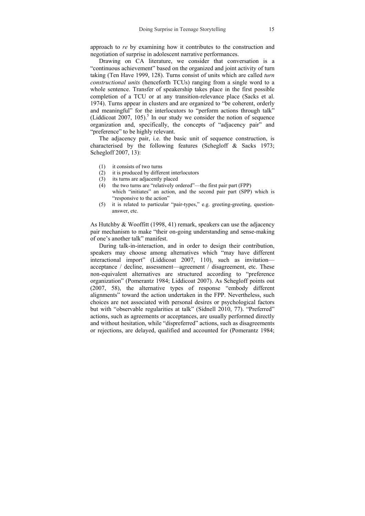approach to *re* by examining how it contributes to the construction and negotiation of surprise in adolescent narrative performances.

Drawing on CA literature, we consider that conversation is a "continuous achievement" based on the organized and joint activity of turn taking (Ten Have 1999, 128). Turns consist of units which are called *turn constructional units* (henceforth TCUs) ranging from a single word to a whole sentence. Transfer of speakership takes place in the first possible completion of a TCU or at any transition-relevance place (Sacks et al. 1974). Turns appear in clusters and are organized to "be coherent, orderly and meaningful" for the interlocutors to "perform actions through talk" (Liddicoat 2007, 105).<sup>5</sup> In our study we consider the notion of sequence organization and, specifically, the concepts of "adjacency pair" and "preference" to be highly relevant.

The adjacency pair, i.e. the basic unit of sequence construction, is characterised by the following features (Schegloff & Sacks 1973; Schegloff 2007, 13):

- (1) it consists of two turns
- (2) it is produced by different interlocutors
- (3) its turns are adjacently placed
- (4) the two turns are "relatively ordered"—the first pair part (FPP) which "initiates" an action, and the second pair part (SPP) which is "responsive to the action"
- (5) it is related to particular "pair-types," e.g. greeting-greeting, questionanswer, etc.

As Hutchby & Wooffitt (1998, 41) remark, speakers can use the adjacency pair mechanism to make "their on-going understanding and sense-making of one's another talk" manifest.

During talk-in-interaction, and in order to design their contribution, speakers may choose among alternatives which "may have different" interactional import" (Liddicoat 2007, 110), such as invitation acceptance / decline, assessment—agreement / disagreement, etc. These non-equivalent alternatives are structured according to "preference organization" (Pomerantz 1984; Liddicoat 2007). As Schegloff points out (2007, 58), the alternative types of response "embody different alignments" toward the action undertaken in the FPP. Nevertheless, such choices are not associated with personal desires or psychological factors but with "observable regularities at talk" (Sidnell 2010, 77). "Preferred" actions, such as agreements or acceptances, are usually performed directly and without hesitation, while "dispreferred" actions, such as disagreements or rejections, are delayed, qualified and accounted for (Pomerantz 1984;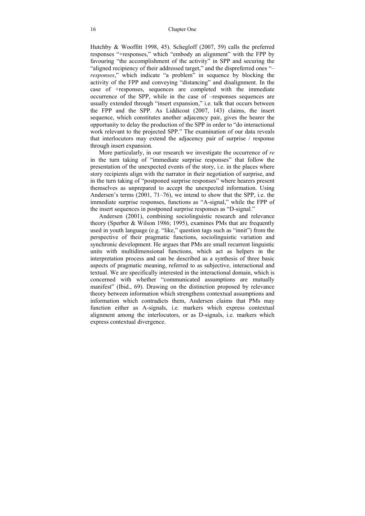Hutchby & Wooffitt 1998, 45). Schegloff (2007, 59) calls the preferred responses "+responses," which "embody an alignment" with the FPP by favouring "the accomplishment of the activity" in SPP and securing the "aligned recipiency of their addressed target," and the dispreferred ones "*– responses*," which indicate "a problem" in sequence by blocking the activity of the FPP and conveying "distancing" and disalignment. In the case of +responses, sequences are completed with the immediate occurrence of the SPP, while in the case of –responses sequences are usually extended through "insert expansion," i.e. talk that occurs between the FPP and the SPP. As Liddicoat (2007, 143) claims, the insert sequence, which constitutes another adjacency pair, gives the hearer the opportunity to delay the production of the SPP in order to "do interactional work relevant to the projected SPP." The examination of our data reveals that interlocutors may extend the adjacency pair of surprise / response through insert expansion.

More particularly, in our research we investigate the occurrence of *re* in the turn taking of "immediate surprise responses" that follow the presentation of the unexpected events of the story, i.e. in the places where story recipients align with the narrator in their negotiation of surprise, and in the turn taking of "postponed surprise responses" where hearers present themselves as unprepared to accept the unexpected information. Using Andersen's terms (2001, 71–76), we intend to show that the SPP, i.e. the immediate surprise responses, functions as "A-signal," while the FPP of the insert sequences in postponed surprise responses as "D-signal."

Andersen (2001), combining sociolinguistic research and relevance theory (Sperber & Wilson 1986; 1995), examines PMs that are frequently used in youth language (e.g. "like," question tags such as "innit") from the perspective of their pragmatic functions, sociolinguistic variation and synchronic development. He argues that PMs are small recurrent linguistic units with multidimensional functions, which act as helpers in the interpretation process and can be described as a synthesis of three basic aspects of pragmatic meaning, referred to as subjective, interactional and textual. We are specifically interested in the interactional domain, which is concerned with whether "communicated assumptions are mutually manifest" (Ibid., 69). Drawing on the distinction proposed by relevance theory between information which strengthens contextual assumptions and information which contradicts them, Andersen claims that PMs may function either as A-signals, i.e. markers which express contextual alignment among the interlocutors, or as D-signals, i.e. markers which express contextual divergence.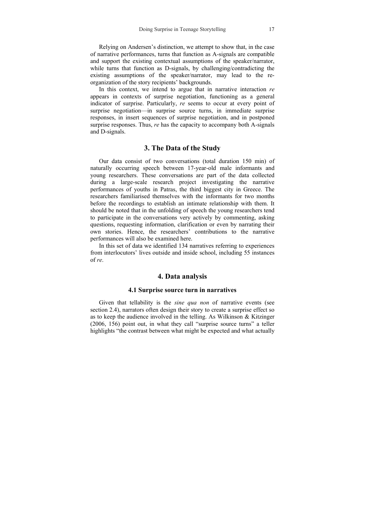Relying on Andersen's distinction, we attempt to show that, in the case of narrative performances, turns that function as A-signals are compatible and support the existing contextual assumptions of the speaker/narrator, while turns that function as D-signals, by challenging/contradicting the existing assumptions of the speaker/narrator, may lead to the reorganization of the story recipients' backgrounds.

In this context, we intend to argue that in narrative interaction *re* appears in contexts of surprise negotiation, functioning as a general indicator of surprise. Particularly, *re* seems to occur at every point of surprise negotiation—in surprise source turns, in immediate surprise responses, in insert sequences of surprise negotiation, and in postponed surprise responses. Thus, *re* has the capacity to accompany both A-signals and D-signals.

### **3. The Data of the Study**

Our data consist of two conversations (total duration 150 min) of naturally occurring speech between 17-year-old male informants and young researchers. These conversations are part of the data collected during a large-scale research project investigating the narrative performances of youths in Patras, the third biggest city in Greece. The researchers familiarised themselves with the informants for two months before the recordings to establish an intimate relationship with them. It should be noted that in the unfolding of speech the young researchers tend to participate in the conversations very actively by commenting, asking questions, requesting information, clarification or even by narrating their own stories. Hence, the researchers' contributions to the narrative performances will also be examined here.

In this set of data we identified 134 narratives referring to experiences from interlocutors' lives outside and inside school, including 55 instances of *re*.

### **4. Data analysis**

#### **4.1 Surprise source turn in narratives**

Given that tellability is the *sine qua non* of narrative events (see section 2.4), narrators often design their story to create a surprise effect so as to keep the audience involved in the telling. As Wilkinson & Kitzinger (2006, 156) point out, in what they call "surprise source turns" a teller highlights "the contrast between what might be expected and what actually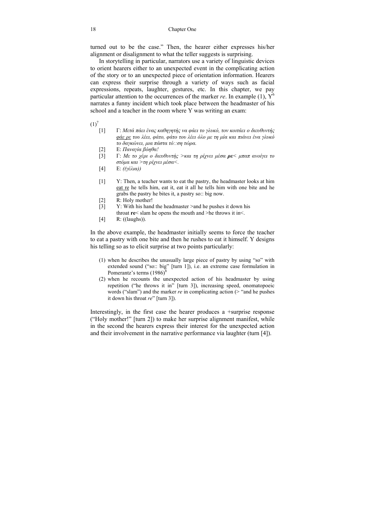turned out to be the case." Then, the hearer either expresses his/her alignment or disalignment to what the teller suggests is surprising.

In storytelling in particular, narrators use a variety of linguistic devices to orient hearers either to an unexpected event in the complicating action of the story or to an unexpected piece of orientation information. Hearers can express their surprise through a variety of ways such as facial expressions, repeats, laughter, gestures, etc. In this chapter, we pay particular attention to the occurrences of the marker *re*. In example  $(1)$ ,  $Y^6$ narrates a funny incident which took place between the headmaster of his school and a teacher in the room where Y was writing an exam:

 $(1)^7$ 

- [1] Γ: *Μετά πάει ένας καθηγητής να φάει το γλυκό, τον κοιτάει ο διευθυντής φάε ρε του λέει, φάτο, φάτο του λέει όλο με τη μία και πιάνει ένα γλυκό το δαγκώνει, μια πάστα τό::ση τώρα.*
- [2] Ε: *Παναγία βόηθα!*
- [3] Γ: *Με το χέρι ο διευθυντής >και τη ρίχνει μέσα ρε< μπαπ ανοίγει το στόμα και >τη ρίχνει μέσα<.*
- [4] E: *((γέλια))*
- [1] Y: Then, a teacher wants to eat the pastry, the headmaster looks at him eat re he tells him, eat it, eat it all he tells him with one bite and he grabs the pastry he bites it, a pastry so:: big now.
- [2] R: Holy mother!
- [3] Y: With his hand the headmaster >and he pushes it down his throat **re**< slam he opens the mouth and >he throws it in<.
- [4] R: ((laughs)).

In the above example, the headmaster initially seems to force the teacher to eat a pastry with one bite and then he rushes to eat it himself. Y designs his telling so as to elicit surprise at two points particularly:

- (1) when he describes the unusually large piece of pastry by using "so" with extended sound ("so:: big" [turn 1]), i.e. an extreme case formulation in Pomerantz's terms  $(1986)^8$
- (2) when he recounts the unexpected action of his headmaster by using repetition ("he throws it in" [turn 3]), increasing speed, onomatopoeic words ("slam") and the marker *re* in complicating action (> "and he pushes it down his throat *re*" [turn 3]).

Interestingly, in the first case the hearer produces a +surprise response ("Holy mother!" [turn 2]) to make her surprise alignment manifest, while in the second the hearers express their interest for the unexpected action and their involvement in the narrative performance via laughter (turn [4]).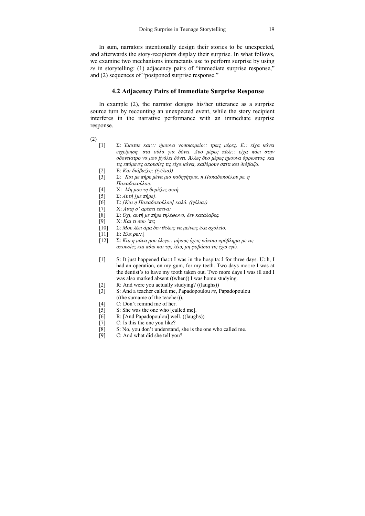In sum, narrators intentionally design their stories to be unexpected, and afterwards the story-recipients display their surprise. In what follows, we examine two mechanisms interactants use to perform surprise by using *re* in storytelling: (1) adjacency pairs of "immediate surprise response," and (2) sequences of "postponed surprise response."

#### **4.2 Adjacency Pairs of Immediate Surprise Response**

In example (2), the narrator designs his/her utterance as a surprise source turn by recounting an unexpected event, while the story recipient interferes in the narrative performance with an immediate surprise response.

(2)

- [1] Σ: *Έκατσε και::: ήμουνα νοσοκομείο:: τρεις μέρες. Ε:: είχα κάνει εγχείρηση, στα ούλα για δόντι. Δυο μέρες πάλι:: είχα πάει στην οδοντίατρο να μου βγάλει δόντι. Άλλες δυο μέρες ήμουνα άρρωστος, και τις επόμενες απουσίες τις είχα κάνει, καθόμουν σπίτι και διάβαζα.*
- [2] Ε: *Και διάβαζες; ((γέλια))*
- [3] Σ: *Και με πήρε μένα μια καθηγήτρια, η Παπαδοπούλου ρε, η Παπαδοπούλου.*
- [4] Χ: *Μη μου τη θυμίζεις αυτή.*
- [5] Σ: *Αυτή [με πήρε].*
- [6] Ε: *[Και η Παπαδοπούλου] καλά. ((γέλια))*
- [7] Χ: *Αυτή σ' αρέσει εσένα;*
- [8] Σ: *Όχι, αυτή με πήρε τηλέφωνο, δεν κατάλαβες.*
- [9] Χ: *Και τι σου 'πε*;
- [10] Σ: *Μου λέει άμα δεν θέλεις να μείνεις έλα σχολείο.*
- [11] Ε: *Έλα ρε::↓*
- [12] Σ: *Και η μάνα μου έλεγε:: μήπως έχεις κάποιο πρόβλημα με τις απουσίες και πάω και της λέω, μη φοβάσαι τις έχω εγώ.*
- [1] S: It just happened tha::t I was in the hospita::l for three days. U::h, I had an operation, on my gum, for my teeth. Two days mo::re I was at the dentist's to have my tooth taken out. Two more days I was ill and I was also marked absent ((when)) I was home studying.
- [2] R: And were you actually studying? ((laughs))
- [3] S: And a teacher called me, Papadopoulou *re*, Papadopoulou ((the surname of the teacher)).
- [4] C: Don't remind me of her.
- [5] S: She was the one who [called me].
- [6] R: [And Papadopoulou] well. ((laughs))
- [7] C: Is this the one you like?
- [8] S: No, you don't understand, she is the one who called me.
- [9] C: And what did she tell you?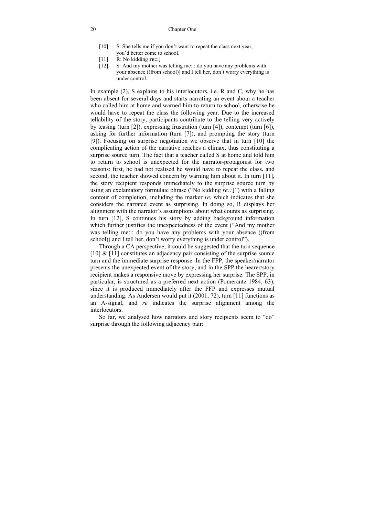#### 20 Chapter One

- [10] S: She tells me if you don't want to repeat the class next year, you'd better come to school.
- [11] R: No kidding **re::**↓
- [12] S: And my mother was telling me::: do you have any problems with your absence ((from school)) and I tell her, don't worry everything is under control.

In example (2), S explains to his interlocutors, i.e. R and C, why he has been absent for several days and starts narrating an event about a teacher who called him at home and warned him to return to school, otherwise he would have to repeat the class the following year. Due to the increased tellability of the story, participants contribute to the telling very actively by teasing (turn [2]), expressing frustration (turn [4]), contempt (turn [6]), asking for further information (turn [7]), and prompting the story (turn [9]). Focusing on surprise negotiation we observe that in turn [10] the complicating action of the narrative reaches a climax, thus constituting a surprise source turn. The fact that a teacher called S at home and told him to return to school is unexpected for the narrator-protagonist for two reasons: first, he had not realised he would have to repeat the class, and second, the teacher showed concern by warning him about it. In turn [11], the story recipient responds immediately to the surprise source turn by using an exclamatory formulaic phrase ("No kidding *re::↓*") with a falling contour of completion, including the marker *re*, which indicates that she considers the narrated event as surprising. In doing so, R displays her alignment with the narrator's assumptions about what counts as surprising. In turn [12], S continues his story by adding background information which further justifies the unexpectedness of the event ("And my mother was telling me::: do you have any problems with your absence ((from school)) and I tell her, don't worry everything is under control").

Through a CA perspective, it could be suggested that the turn sequence [10]  $\&$  [11] constitutes an adjacency pair consisting of the surprise source turn and the immediate surprise response. In the FPP, the speaker/narrator presents the unexpected event of the story, and in the SPP the hearer/story recipient makes a responsive move by expressing her surprise. The SPP, in particular, is structured as a preferred next action (Pomerantz 1984, 63), since it is produced immediately after the FFP and expresses mutual understanding. As Andersen would put it (2001, 72), turn [11] functions as an A-signal, and *re* indicates the surprise alignment among the interlocutors.

So far, we analysed how narrators and story recipients seem to "do" surprise through the following adjacency pair: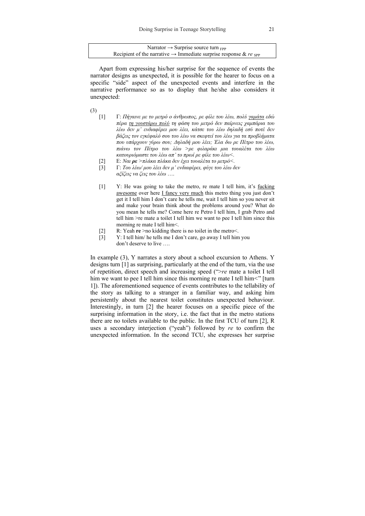Narrator  $\rightarrow$  Surprise source turn <sub>FPP</sub> Recipient of the narrative  $\rightarrow$  Immediate surprise response & *re* SPP

Apart from expressing his/her surprise for the sequence of events the narrator designs as unexpected, it is possible for the hearer to focus on a specific "side" aspect of the unexpected events and interfere in the narrative performance so as to display that he/she also considers it unexpected:

(3)

- [1] Γ: *Πήγαινε με το μετρό ο άνθρωπος, ρε φίλε του λέω, πολύ γαμάτα εδώ πέρα τη γουστάρω πολύ τη φάση του μετρό δεν παίρνεις χαμπάρια του λέω δεν μ' ενδιαφέρει μου λέει, κάτσε του λέω δηλαδή εσύ ποτέ δεν βάζεις τον εγκέφαλό σου του λέω να σκεφτεί του λέω για τα προβλήματα που υπάρχουν γύρω σου; Δηλαδή μου λέει; Έλα δω ρε Πέτρο του λέω, πιάνω τον Πέτρο του λέω >ρε φιλαράκι μια τουαλέτα του λέω κατουριόμαστε του λέω απ' το πρωί ρε φίλε του λέω<.*
- [2] E: *Ναι ρε >πλάκα πλάκα δεν έχει τουαλέτα το μετρό<.*
- [3] Γ: *Του λέω/ μου λέει δεν μ' ενδιαφέρει, φύγε του λέω δεν αξίζεις να ζεις του λέω* ….
- [1] Y: He was going to take the metro, re mate I tell him, it's fucking awesome over here I fancy very much this metro thing you just don't get it I tell him I don't care he tells me, wait I tell him so you never sit and make your brain think about the problems around you? What do you mean he tells me? Come here re Petro I tell him, I grab Petro and tell him >re mate a toilet I tell him we want to pee I tell him since this morning re mate I tell him<.
- [2] R: Yeah **re** >no kidding there is no toilet in the metro  $\leq$ .
- [3] Y: I tell him/ he tells me I don't care, go away I tell him you don't deserve to live

In example (3), Y narrates a story about a school excursion to Athens. Y designs turn [1] as surprising, particularly at the end of the turn, via the use of repetition, direct speech and increasing speed (">*re* mate a toilet I tell him we want to pee I tell him since this morning re mate I tell him*<*" [turn 1]). The aforementioned sequence of events contributes to the tellability of the story as talking to a stranger in a familiar way, and asking him persistently about the nearest toilet constitutes unexpected behaviour. Interestingly, in turn [2] the hearer focuses on a specific piece of the surprising information in the story, i.e. the fact that in the metro stations there are no toilets available to the public. In the first TCU of turn [2], R uses a secondary interjection ("yeah") followed by *re* to confirm the unexpected information. In the second TCU, she expresses her surprise